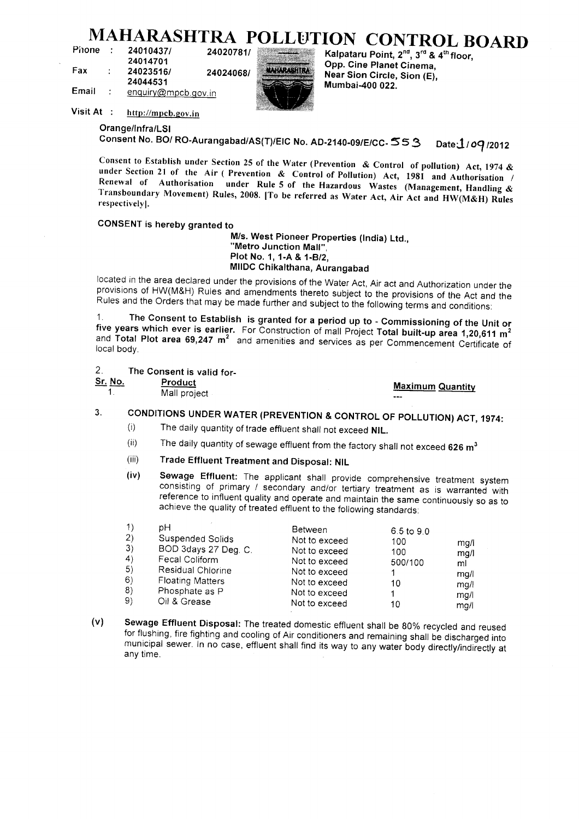# $MAHARASHTRA POLLUTION CONTROL BOARD$ <br> **Phone : 24010437/** 24020781/

| Phone | 24010437/<br>24020781/             |                    | $\sim$ $\sim$ $\sim$ $\sim$ $\sim$ $\sim$<br>Kalpataru Point, 2 <sup>nd</sup> , 3 <sup>rd</sup> & |
|-------|------------------------------------|--------------------|---------------------------------------------------------------------------------------------------|
| Fax   | 24014701<br>24023516/<br>24024068/ | <b>MAHARASHTRA</b> | Opp. Cine Planet Cinema,<br>Near Sion Circle, Sion (E),                                           |
| Email | 24044531<br>enquiry@mpcb.gov.in    |                    | Mumbai-400 022.                                                                                   |



24020781/<br> **24020781/**<br> **240240491 MARARASHIRA**<br> **240240491 MARARASHIRA**<br> **Noor Cine Planet Cinema, 24044531** Mear Sion Circle, **24044531** Mumbai-400 022.

**Visit At : http://mpcb.gov.in**

**Orange/Infra/LSI**

Consent No. BO/ RO-Aurangabad/AS(T)/EIC No. AD-2140-09/E/CC- 55 3 Date: 1/09/2012

**Consent to Establish under Section 25 of the Water (Prevention & Control of pollution) Act, 1974 & under Section 21 of the Air ( Prevention & Control of Pollution) Act, 1981 and Authorisation / Renewal of Authorisation under Rule 5 of the Hazardous Wastes (Management, Handling & Transboundary Movement) Rules, 2008. |To be referred as Water Act, Air Act and HW(M&H) Rules respectively).**

## **CONSENT is hereby granted to**

**M/s. West Pioneer Properties (India) Ltd., "Metro Junction Mall", Plot No. 1, 1-A&1-B/2, MIIDC Chikalthana, Aurangabad**

located in the area declared under the provisions of the Water Act, Air act and Authorization under the provisions of HW(M&H) Rules and amendments thereto subject to the provisions of the Act and the Rules and the Orders that may be made further and subject to the following terms and conditions:

**1 The Consent to Establish is granted for a period up to - Commissioning of the Unit or five years which ever is earlier.** For Construction of mall Project **Total built-up area 1,20,611 m<sup>2</sup>** nd Total Plot area 69,247 m<sup>2</sup> and amenities and services the person pull-up area 1,20,611 m<sup>2</sup> local body.

**2. The Consent is valid for-**

**Solution Constanting Maximum Quantity (1998)** 

1. Mall project

## **3. CONDITIONS UNDER WATER (PREVENTION & CONTROL OF POLLUTION) ACT, 1974:**

- (i) The daily quantity of trade effluent shall not exceed **NIL.**
- (ii) The daily quantity of sewage effluent from the factory shall not exceed **626 m<sup>3</sup>**
- (iii) **Trade Effluent Treatment and Disposal: NIL**
- **(iv) Sewage Effluent:** The applicant shall provide comprehensive treatment system consisting of primary / secondary and/or tertiary treatment as is warranted with reference to influent quality and operate and maintain the same continuously so as to achieve the quality of treated effluent to the following standards:

| $\left( \left( \right)$      | pН                      | Between       | $6.5 \text{ to } 9.0$ |      |
|------------------------------|-------------------------|---------------|-----------------------|------|
| 2)                           | Suspended Solids        | Not to exceed | 100                   | mg/i |
| 3)                           | BOD 3days 27 Deg. C.    | Not to exceed | 100                   | mq/1 |
| $\left( \frac{4}{2} \right)$ | Fecal Coliform          | Not to exceed | 500/100               | ml   |
| 5)                           | Residual Chlorine       | Not to exceed |                       | mg/l |
| 6)                           | <b>Floating Matters</b> | Not to exceed | 10                    | mg/l |
| 8)                           | Phosphate as P          | Not to exceed |                       | mq/  |
| 9)                           | Oil & Grease            | Not to exceed | 10                    | ma/i |

**(v) Sewage Effluent Disposal:** The treated domestic effluent shall be 80% recycled and reused for flushing, fire fighting and cooling of Air conditioners and remaining shall be discharged into municipal sewer. In no case, effluent shall find its way to any water body directly/indirectly at any time.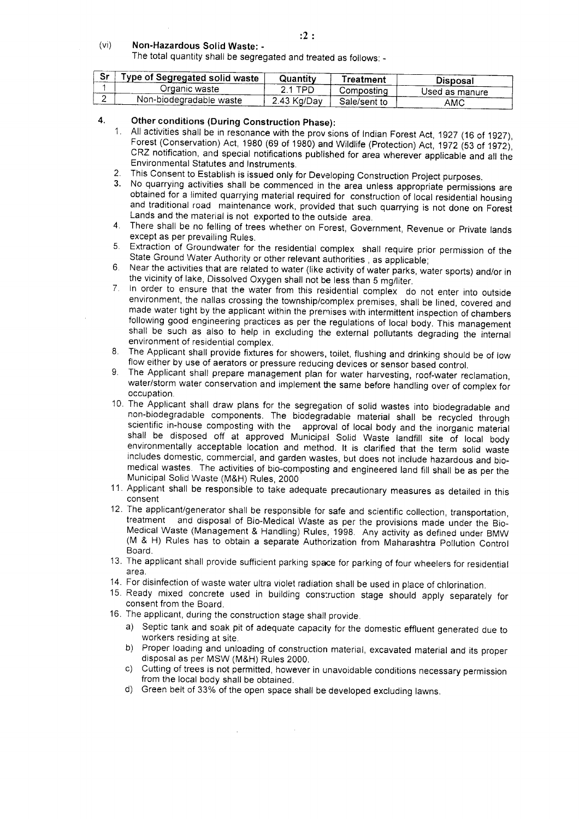#### (vi) **Non-Hazardous Solid Waste: -**

The total quantity shall be segregated and treated as follows: -

| Sr | Type of Segregated solid waste | Quantitv    | reatment)    | <b>Disposal</b> |
|----|--------------------------------|-------------|--------------|-----------------|
|    | Organic wastel                 | TPD         | Compostina   | Used as manure  |
|    | Non-biodegradable waste        | 2.43 Kg/Day | Sale/sent to | AMC             |

## **4. Other conditions (During Construction Phase):**

- 1. All activities shall be in resonance with the prov sions of Indian Forest Act, 1927 (16 of 1927), Forest (Conservation) Act, 1980 (69 of 1980) and Wildlife (Protection) Act, 1972 (53 of 1972). CRZ notification, and special notifications published for area wherever applicable and all the Environmental Statutes and Instruments.
- 2. This Consent to Establish is issued only for Developing Construction Project purposes.
- 3. No quarrying activities shall be commenced in the area unless appropriate permissions are obtained for a limited quarrying material required for construction of local residential housing and traditional road maintenance work, provided that such quarrying is not done on Forest Lands and the material is not exported to the outside area.
- 4. There shall be no felling of trees whether on Forest, Government, Revenue or Private lands except as per prevailing Rules.
- 5. Extraction of Groundwater for the residential complex shall require prior permission of the State Ground Water Authority or other relevant authorities , as applicable;
- 6. Near the activities that are related to water (like activity of water parks, water sports) and/or in the vicinity of lake, Dissolved Oxygen shall not be less than 5 mg/liter.
- 7. In order to ensure that the water from this residential complex do not enter into outside environment, the nallas crossing the township/complex premises, shall be lined, covered and made water tight by the applicant within the premises with intermittent inspection of chambers following good engineering practices as per the regulations of local body. This management shall be such as also to help in excluding the external pollutants degrading the internal environment of residential complex.
- 8. The Applicant shall provide fixtures for showers, toilet, flushing and drinking should be of low flow either by use of aerators or pressure reducing devices or sensor based control.
- 9. The Applicant shall prepare management plan for water harvesting, roof-water reclamation, water/storm water conservation and implement the same before handling over of complex for occupation.
- 10. The Applicant shall draw plans for the segregation of solid wastes into biodegradable and non-biodegradable components. The biodegradable material shall be recycled through scientific in-house composting with the approval of local body and the inorganic material shall be disposed off at approved Municipal Solid Waste landfill site of local body environmentally acceptable location and method. It is clarified that the term solid waste includes domestic, commercial, and garden wastes, but does not include hazardous and biomedical wastes. The activities of bio-composting and engineered land fill shall be as per the Municipal Solid Waste (M&H) Rules, 2000
- 11. Applicant shall be responsible to take adequate precautionary measures as detailed in this consent
- 12. The applicant/generator shall be responsible for safe and scientific collection, transportation, treatment and disposal of Bio-Medical Waste as per the provisions made under the Bio-Medical Waste (Management & Handling) Rules, 1998. Any activity as defined under BMW (M & H) Rules has to obtain a separate Authorization from Maharashtra Pollution Control Board.
- 13. The applicant shall provide sufficient parking space for parking of four wheelers for residential area.
- 14. For disinfection of waste water ultra violet radiation shall be used in place of chlorination.
- 15. Ready mixed concrete used in building construction stage should apply separately for consent from the Board.
- 16. The applicant, during the construction stage shall provide.

 $\mathcal{L}^{\mathcal{L}}$ 

- a) Septic tank and soak pit of adequate capacity for the domestic effluent generated due to workers residing at site.
- b) Proper loading and unloading of construction material, excavated material and its proper disposal as per MSW (M&H) Rules 2000.
- c) Cutting of trees is not permitted, however in unavoidable conditions necessary permission from the local body shall be obtained.
- d) Green belt of 33% of the open space shall be developed excluding lawns.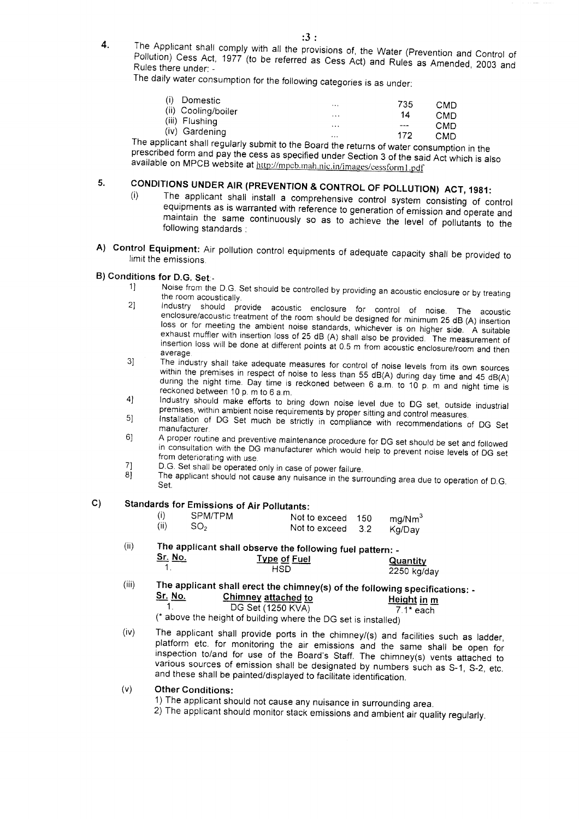- :3 :
- 4. The Applicant shall comply with all the provisions of, the Water (Prevention and Control of Pollution) Cess Act, 1977 (to be referred as Cess Act) and Rules as Amended, 2003 and Rules there under: - Rules there under: -<br>The daily water consumption for the following categories is as under:

| Domestic                                                                                                                          | $\cdots$ | 735     | CMD |
|-----------------------------------------------------------------------------------------------------------------------------------|----------|---------|-----|
| (ii) Cooling/boiler                                                                                                               | $\cdots$ | 14      | CMD |
| (iii) Flushing                                                                                                                    | $\cdots$ | $- - -$ | CMD |
| (iv) Gardening<br>the contract of the contract of the contract of the contract of the contract of the contract of the contract of | $\cdots$ | 172     | CMD |

The applicant shall regularly submit to the Board the returns of water consumption in the prescribed form and pay the cess as specified under Section 3 of the said Act which is also available on MPCB website at http://mpcb.mah.nic.in/images/cessform1.pdf

# **5. CONDITIONS UNDER AIR (PREVENTION & CONTROL OF POLLUTION) ACT, 1981:**

- (i) The applicant shall install a comprehensive control system consisting of control equipments as is warranted with reference to generation of emission and operate and  $\frac{m}{\sqrt{2}}$  intain the same continuously so as to define the level of pollutants to the level of pollutants to the same continuously so as to the level of pollutants to the same continuously so as  $\frac{m}{\sqrt{2}}$ namtam the same t<br>pllowing standards :
- **A)** Control Equipment: Air pollution control equipments of additional be provided to provide the provided to provide the provided to provide the provided to provide the provided to provide the provided to provide the prov  $\text{mit the emission}$

## **B) Conditions for D.G. Set -**

- $1$  Noise from the D.G. Set should be controlled by  $\frac{1}{2}$ the matricial acoustically. 2] Industry should provide acoustic enclosure for control of noise. The acoustic
- ences, should provide acoustic treatment of the room should be designed for control of noise. The acoustic loss or for meeting the ambient of the room should be designed for minimum 25 dB (A) insertion exhaust must must must be provided as the multipler with the multipler with the measurement of the measurement of the measurement of the measurement of the measurement of the measurement of the measurement of the measureme exhaust muffler with insertion loss of 25 dB (A) shall also be provided. The measurement of insertion loss will be done at different points at 0.5 m from acoustic enclosure/room and then<br>average.  $\frac{3}{2}$  The industry shall take adequate measures for control of  $\frac{3}{2}$  is our sources from its own sources from its own sources from its own sources from its own sources from its own sources from its own sources fro
- with the premises in respect of noise to control of noise levels from its own sources within the premises in respect of noise to less than 55 dB(A) during day time and 45 dB(A) reckoned between 10 p. m to 6 a.m.<br>reckoned between 10 p. m and night time is  $\frac{1}{2}$  Industry should make efforts to bring down noise level due to  $\frac{1}{2}$  industry should make  $\frac{1}{2}$  for  $\frac{1}{2}$  in the set of  $\frac{1}{2}$  industry should
- premises, within ambient noise requirements by proper sitting and control measures. Within ambient noise requirements by property in the set of the set, outside finition of DG Set much be strictly in complete situation and control measures.
- manuelle U.<br>Anufacturer  $\overline{a}$  a proper routine and preventive maintenance procedure for  $\overline{a}$  $6$
- in consultation with the DG manufacturer which would help to prevent noise levels of DG set<br>from deteriorating with use. in consultation with the DG manufacturer which we have not DG set should be set and followed  $71$
- D.G. Set shall be operated only in case of power failure. 8] The applicant should not cause any nuisance in the surrounding area due to operation of D.G. 8]
	- Set.

## **C) Standards for Emissions of Air Pollutants:**

| (i)  | SPM/TPM         | Not to exceed 150 | mg/Nm <sup>3</sup> |  |
|------|-----------------|-------------------|--------------------|--|
| (ii) | SO <sub>2</sub> | Not to exceed 3.2 | Kg/Dav             |  |

#### The applicant shall observe the following fuel patt. **Starburship of Fuel Concerning** Property Concerning Property Concerning Property Concerning Property Concerning Concerning Concerning Concerning Concerning Concerning Concerning Concerning Concerning Concerning Concerning  $S<sub>1</sub>$

| No.<br>___ | <b>Type of Fuel</b> | <b>Quantity</b> |
|------------|---------------------|-----------------|
|            | HSD                 | $2250$ kg/day   |

#### $\int$  The applicant shall erect the chimney(s) of the following species specifically **Solution and Solution** continuity(3) of the Tonowing specification of the Chimney attached to  $\frac{1}{2}$  $\frac{\text{Sr. No.}}{1}$  Chimney attached to  $\frac{\text{Height in m}}{7.1* \text{ each}}$  $\mathbf{1}$

(\* above the height of building where the DG set is installed)

- (iv) The applicant shall provide ports in the chimney/(s) and facilities such as ladder,  $\frac{p}{p}$  and the same platform the significant formulations and the same shall be open for monitoring the significant be open for  $p$  $\frac{1}{2}$  inspection to  $\frac{1}{2}$  of the Board's Staff. The chimney shall be open for  $\mu$ <sup>2</sup> various sources of emission shall be designated by numbers such as S-1, S-2, etc... and these shall be painted/displayed to facilitate identification.
- **Other Conditions:**  $(v)$ 
	- 1) The applicant should not cause any nuisance in surrounding area.
	- 2) The applicant should monitor stack emissions and ambient air quality regularly.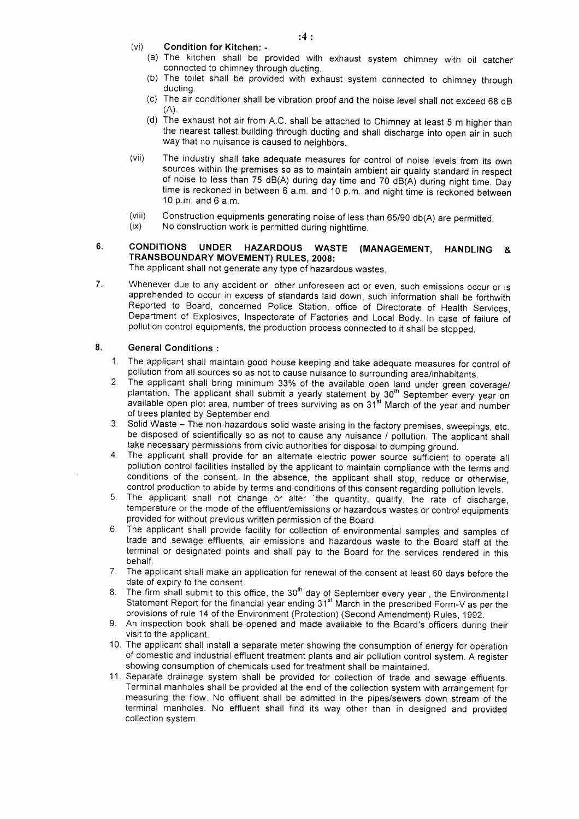- **(vi) Condition for Kitchen: -**
	- (a) The kitchen shall be provided with exhaust system chimney with oil catcher connected to chimney through ducting.
	- (b) The toilet shall be provided with exhaust system connected to chimney through ducting.
	- (c) The air conditioner shall be vibration proof and the noise level shall not exceed 68 dB  $(A)$ .
	- (d) The exhaust hot air from A.C. shall be attached to Chimney at least 5 m higher than the nearest tallest building through ducting and shall discharge into open air in such way that no nuisance is caused to neighbors.
- (vii) The industry shall take adequate measures for control of noise levels from its own sources within the premises so as to maintain ambient air quality standard in respect of noise to less than 75 dB(A) during day time and 70 dB(A) during night time. Day time is reckoned in between 6 a.m. and 10 p.m. and night time is reckoned between 10 p.m. and 6 a.m.
- (viii) Construction equipments generating noise of less than 65/90 db(A) are permitted,
- (ix) No construction work is permitted during nighttime.
- **6. CONDITIONS UNDER HAZARDOUS WASTE (MANAGEMENT, HANDLING & TRANSBOUNDARY MOVEMENT) RULES, 2008:**

The applicant shall not generate any type of hazardous wastes.

7. Whenever due to any accident or other unforeseen act or even, such emissions occur or is apprehended to occur in excess of standards laid down, such information shall be forthwith Reported to Board, concerned Police Station, office of Directorate of Health Services, Department of Explosives, Inspectorate of Factories and Local Body. In case of failure of pollution control equipments, the production process connected to it shall be stopped.

#### **8. General Conditions :**

- 1. The applicant shall maintain good house keeping and take adequate measures for control of pollution from all sources so as not to cause nuisance to surrounding area/inhabitants.
- 2. The applicant shall bring minimum 33% of the available open land under green coverage/  $p$ lantation. The applicant shall submit a yearly statement by  $30<sup>th</sup>$  September every year on available open plot area, number of trees surviving as on 31st March of the year and number of trees planted by September end.
- 3. Solid Waste The non-hazardous solid waste arising in the factory premises, sweepings, etc. be disposed of scientifically so as not to cause any nuisance / pollution. The applicant shall take necessary permissions from civic authorities for disposal to dumping ground.
- 4. The applicant shall provide for an alternate electric power source sufficient to operate all pollution control facilities installed by the applicant to maintain compliance with the terms and conditions of the consent. In the absence, the applicant shall stop, reduce or otherwise, control production to abide by terms and conditions of this consent regarding pollution levels.
- 5. The applicant shall not change or alter "the quantity, quality, the rate of discharge, temperature or the mode of the effluent/emissions or hazardous wastes or control equipments provided for without previous written permission of the Board.
- 6. The applicant shall provide facility for collection of environmental samples and samples of trade and sewage effluents, air emissions and hazardous waste to the Board staff at the terminal or designated points and shall pay to the Board for the services rendered in this behalf.
- 7. The applicant shall make an application for renewal of the consent at least 60 days before the date of expiry to the consent.
- 8. The firm shall submit to this office, the 30<sup>th</sup> day of September every year, the Environmental Statement Report for the financial year ending 31<sup>st</sup> March in the prescribed Form-V as per the provisions of rule 14 of the Environment (Protection) (Second Amendment) Rules, 1992.
- 9. An inspection book shall be opened and made available to the Board's officers during their visit to the applicant.
- 10. The applicant shall install a separate meter showing the consumption of energy for operation of domestic and industrial effluent treatment plants and air pollution control system. A register showing consumption of chemicals used for treatment shall be maintained.
- 11. Separate drainage system shall be provided for collection of trade and sewage effluents. Terminal manholes shall be provided at the end of the collection system with arrangement for measuring the flow. No effluent shall be admitted in the pipes/sewers down stream of the terminal manholes. No effluent shall find its way other than in designed and provided collection system.